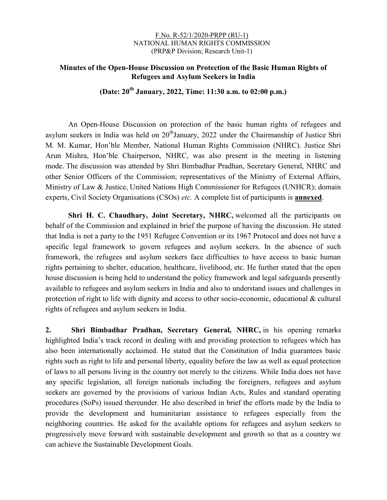#### F.No. R-52/1/2020-PRPP (RU-1) NATIONAL HUMAN RIGHTS COMMISSION (PRP&P Division; Research Unit-1)

# Minutes of the Open-House Discussion on Protection of the Basic Human Rights of Refugees and Asylum Seekers in India

(Date:  $20^{th}$  January, 2022, Time: 11:30 a.m. to 02:00 p.m.)

An Open-House Discussion on protection of the basic human rights of refugees and asylum seekers in India was held on  $20<sup>th</sup>$  January, 2022 under the Chairmanship of Justice Shri M. M. Kumar, Hon'ble Member, National Human Rights Commission (NHRC). Justice Shri Arun Mishra, Hon'ble Chairperson, NHRC, was also present in the meeting in listening mode. The discussion was attended by Shri Bimbadhar Pradhan, Secretary General, NHRC and other Senior Officers of the Commission; representatives of the Ministry of External Affairs, Ministry of Law & Justice, United Nations High Commissioner for Refugees (UNHCR); domain experts, Civil Society Organisations (CSOs) etc. A complete list of participants is **annexed**.

Shri H. C. Chaudhary, Joint Secretary, NHRC, welcomed all the participants on behalf of the Commission and explained in brief the purpose of having the discussion. He stated that India is not a party to the 1951 Refugee Convention or its 1967 Protocol and does not have a specific legal framework to govern refugees and asylum seekers. In the absence of such framework, the refugees and asylum seekers face difficulties to have access to basic human rights pertaining to shelter, education, healthcare, livelihood, etc. He further stated that the open house discussion is being held to understand the policy framework and legal safeguards presently available to refugees and asylum seekers in India and also to understand issues and challenges in protection of right to life with dignity and access to other socio-economic, educational & cultural rights of refugees and asylum seekers in India.

2. Shri Bimbadhar Pradhan, Secretary General, NHRC, in his opening remarks highlighted India's track record in dealing with and providing protection to refugees which has also been internationally acclaimed. He stated that the Constitution of India guarantees basic rights such as right to life and personal liberty, equality before the law as well as equal protection of laws to all persons living in the country not merely to the citizens. While India does not have any specific legislation, all foreign nationals including the foreigners, refugees and asylum seekers are governed by the provisions of various Indian Acts, Rules and standard operating procedures (SoPs) issued thereunder. He also described in brief the efforts made by the India to provide the development and humanitarian assistance to refugees especially from the neighboring countries. He asked for the available options for refugees and asylum seekers to progressively move forward with sustainable development and growth so that as a country we can achieve the Sustainable Development Goals.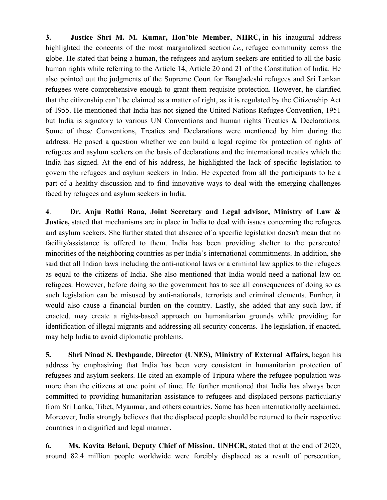3. Justice Shri M. M. Kumar, Hon'ble Member, NHRC, in his inaugural address highlighted the concerns of the most marginalized section *i.e.*, refugee community across the globe. He stated that being a human, the refugees and asylum seekers are entitled to all the basic human rights while referring to the Article 14, Article 20 and 21 of the Constitution of India. He also pointed out the judgments of the Supreme Court for Bangladeshi refugees and Sri Lankan refugees were comprehensive enough to grant them requisite protection. However, he clarified that the citizenship can't be claimed as a matter of right, as it is regulated by the Citizenship Act of 1955. He mentioned that India has not signed the United Nations Refugee Convention, 1951 but India is signatory to various UN Conventions and human rights Treaties & Declarations. Some of these Conventions, Treaties and Declarations were mentioned by him during the address. He posed a question whether we can build a legal regime for protection of rights of refugees and asylum seekers on the basis of declarations and the international treaties which the India has signed. At the end of his address, he highlighted the lack of specific legislation to govern the refugees and asylum seekers in India. He expected from all the participants to be a part of a healthy discussion and to find innovative ways to deal with the emerging challenges faced by refugees and asylum seekers in India.

4. Dr. Anju Rathi Rana, Joint Secretary and Legal advisor, Ministry of Law & Justice, stated that mechanisms are in place in India to deal with issues concerning the refugees and asylum seekers. She further stated that absence of a specific legislation doesn't mean that no facility/assistance is offered to them. India has been providing shelter to the persecuted minorities of the neighboring countries as per India's international commitments. In addition, she said that all Indian laws including the anti-national laws or a criminal law applies to the refugees as equal to the citizens of India. She also mentioned that India would need a national law on refugees. However, before doing so the government has to see all consequences of doing so as such legislation can be misused by anti-nationals, terrorists and criminal elements. Further, it would also cause a financial burden on the country. Lastly, she added that any such law, if enacted, may create a rights-based approach on humanitarian grounds while providing for identification of illegal migrants and addressing all security concerns. The legislation, if enacted, may help India to avoid diplomatic problems.

5. Shri Ninad S. Deshpande, Director (UNES), Ministry of External Affairs, began his address by emphasizing that India has been very consistent in humanitarian protection of refugees and asylum seekers. He cited an example of Tripura where the refugee population was more than the citizens at one point of time. He further mentioned that India has always been committed to providing humanitarian assistance to refugees and displaced persons particularly from Sri Lanka, Tibet, Myanmar, and others countries. Same has been internationally acclaimed. Moreover, India strongly believes that the displaced people should be returned to their respective countries in a dignified and legal manner.

6. Ms. Kavita Belani, Deputy Chief of Mission, UNHCR, stated that at the end of 2020, around 82.4 million people worldwide were forcibly displaced as a result of persecution,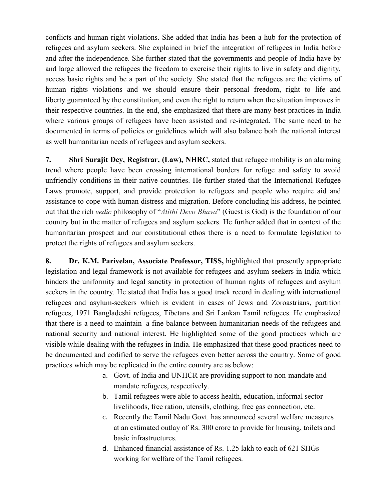conflicts and human right violations. She added that India has been a hub for the protection of refugees and asylum seekers. She explained in brief the integration of refugees in India before and after the independence. She further stated that the governments and people of India have by and large allowed the refugees the freedom to exercise their rights to live in safety and dignity, access basic rights and be a part of the society. She stated that the refugees are the victims of human rights violations and we should ensure their personal freedom, right to life and liberty guaranteed by the constitution, and even the right to return when the situation improves in their respective countries. In the end, she emphasized that there are many best practices in India where various groups of refugees have been assisted and re-integrated. The same need to be documented in terms of policies or guidelines which will also balance both the national interest as well humanitarian needs of refugees and asylum seekers.

7. Shri Surajit Dey, Registrar, (Law), NHRC, stated that refugee mobility is an alarming trend where people have been crossing international borders for refuge and safety to avoid unfriendly conditions in their native countries. He further stated that the International Refugee Laws promote, support, and provide protection to refugees and people who require aid and assistance to cope with human distress and migration. Before concluding his address, he pointed out that the rich vedic philosophy of "Atithi Devo Bhava" (Guest is God) is the foundation of our country but in the matter of refugees and asylum seekers. He further added that in context of the humanitarian prospect and our constitutional ethos there is a need to formulate legislation to protect the rights of refugees and asylum seekers.

8. Dr. K.M. Parivelan, Associate Professor, TISS, highlighted that presently appropriate legislation and legal framework is not available for refugees and asylum seekers in India which hinders the uniformity and legal sanctity in protection of human rights of refugees and asylum seekers in the country. He stated that India has a good track record in dealing with international refugees and asylum-seekers which is evident in cases of Jews and Zoroastrians, partition refugees, 1971 Bangladeshi refugees, Tibetans and Sri Lankan Tamil refugees. He emphasized that there is a need to maintain a fine balance between humanitarian needs of the refugees and national security and national interest. He highlighted some of the good practices which are visible while dealing with the refugees in India. He emphasized that these good practices need to be documented and codified to serve the refugees even better across the country. Some of good practices which may be replicated in the entire country are as below:

- a. Govt. of India and UNHCR are providing support to non-mandate and mandate refugees, respectively.
- b. Tamil refugees were able to access health, education, informal sector livelihoods, free ration, utensils, clothing, free gas connection, etc.
- c. Recently the Tamil Nadu Govt. has announced several welfare measures at an estimated outlay of Rs. 300 crore to provide for housing, toilets and basic infrastructures.
- d. Enhanced financial assistance of Rs. 1.25 lakh to each of 621 SHGs working for welfare of the Tamil refugees.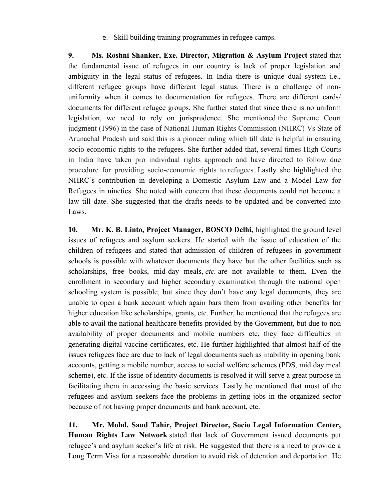e. Skill building training programmes in refugee camps.

9. Ms. Roshni Shanker, Exe. Director, Migration & Asylum Project stated that the fundamental issue of refugees in our country is lack of proper legislation and ambiguity in the legal status of refugees. In India there is unique dual system i.e., different refugee groups have different legal status. There is a challenge of nonuniformity when it comes to documentation for refugees. There are different cards/ documents for different refugee groups. She further stated that since there is no uniform legislation, we need to rely on jurisprudence. She mentioned the Supreme Court judgment (1996) in the case of National Human Rights Commission (NHRC) Vs State of Arunachal Pradesh and said this is a pioneer ruling which till date is helpful in ensuring socio-economic rights to the refugees. She further added that, several times High Courts in India have taken pro individual rights approach and have directed to follow due procedure for providing socio-economic rights to refugees. Lastly she highlighted the NHRC's contribution in developing a Domestic Asylum Law and a Model Law for Refugees in nineties. She noted with concern that these documents could not become a law till date. She suggested that the drafts needs to be updated and be converted into Laws.

10. Mr. K. B. Linto, Project Manager, BOSCO Delhi, highlighted the ground level issues of refugees and asylum seekers. He started with the issue of education of the children of refugees and stated that admission of children of refugees in government schools is possible with whatever documents they have but the other facilities such as scholarships, free books, mid-day meals, *etc.* are not available to them. Even the enrollment in secondary and higher secondary examination through the national open schooling system is possible, but since they don't have any legal documents, they are unable to open a bank account which again bars them from availing other benefits for higher education like scholarships, grants, etc. Further, he mentioned that the refugees are able to avail the national healthcare benefits provided by the Government, but due to non availability of proper documents and mobile numbers etc, they face difficulties in generating digital vaccine certificates, etc. He further highlighted that almost half of the issues refugees face are due to lack of legal documents such as inability in opening bank accounts, getting a mobile number, access to social welfare schemes (PDS, mid day meal scheme), etc. If the issue of identity documents is resolved it will serve a great purpose in facilitating them in accessing the basic services. Lastly he mentioned that most of the refugees and asylum seekers face the problems in getting jobs in the organized sector because of not having proper documents and bank account, etc.

11. Mr. Mohd. Saud Tahir, Project Director, Socio Legal Information Center, Human Rights Law Network stated that lack of Government issued documents put refugee's and asylum seeker's life at risk. He suggested that there is a need to provide a Long Term Visa for a reasonable duration to avoid risk of detention and deportation. He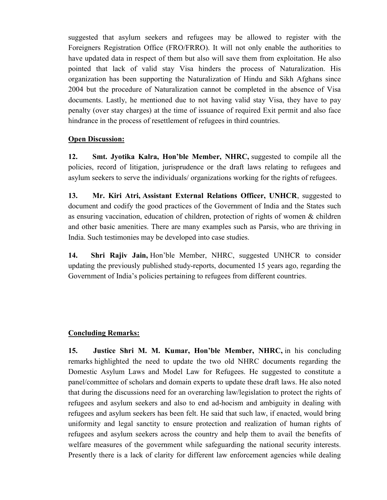suggested that asylum seekers and refugees may be allowed to register with the Foreigners Registration Office (FRO/FRRO). It will not only enable the authorities to have updated data in respect of them but also will save them from exploitation. He also pointed that lack of valid stay Visa hinders the process of Naturalization. His organization has been supporting the Naturalization of Hindu and Sikh Afghans since 2004 but the procedure of Naturalization cannot be completed in the absence of Visa documents. Lastly, he mentioned due to not having valid stay Visa, they have to pay penalty (over stay charges) at the time of issuance of required Exit permit and also face hindrance in the process of resettlement of refugees in third countries.

### Open Discussion:

12. Smt. Jyotika Kalra, Hon'ble Member, NHRC, suggested to compile all the policies, record of litigation, jurisprudence or the draft laws relating to refugees and asylum seekers to serve the individuals/ organizations working for the rights of refugees.

13. Mr. Kiri Atri, Assistant External Relations Officer, UNHCR, suggested to document and codify the good practices of the Government of India and the States such as ensuring vaccination, education of children, protection of rights of women & children and other basic amenities. There are many examples such as Parsis, who are thriving in India. Such testimonies may be developed into case studies.

14. Shri Rajiv Jain, Hon'ble Member, NHRC, suggested UNHCR to consider updating the previously published study-reports, documented 15 years ago, regarding the Government of India's policies pertaining to refugees from different countries.

# Concluding Remarks:

15. Justice Shri M. M. Kumar, Hon'ble Member, NHRC, in his concluding remarks highlighted the need to update the two old NHRC documents regarding the Domestic Asylum Laws and Model Law for Refugees. He suggested to constitute a panel/committee of scholars and domain experts to update these draft laws. He also noted that during the discussions need for an overarching law/legislation to protect the rights of refugees and asylum seekers and also to end ad-hocism and ambiguity in dealing with refugees and asylum seekers has been felt. He said that such law, if enacted, would bring uniformity and legal sanctity to ensure protection and realization of human rights of refugees and asylum seekers across the country and help them to avail the benefits of welfare measures of the government while safeguarding the national security interests. Presently there is a lack of clarity for different law enforcement agencies while dealing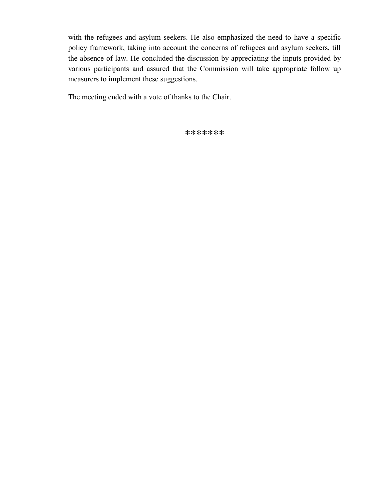with the refugees and asylum seekers. He also emphasized the need to have a specific policy framework, taking into account the concerns of refugees and asylum seekers, till the absence of law. He concluded the discussion by appreciating the inputs provided by various participants and assured that the Commission will take appropriate follow up measurers to implement these suggestions.

The meeting ended with a vote of thanks to the Chair.

\*\*\*\*\*\*\*